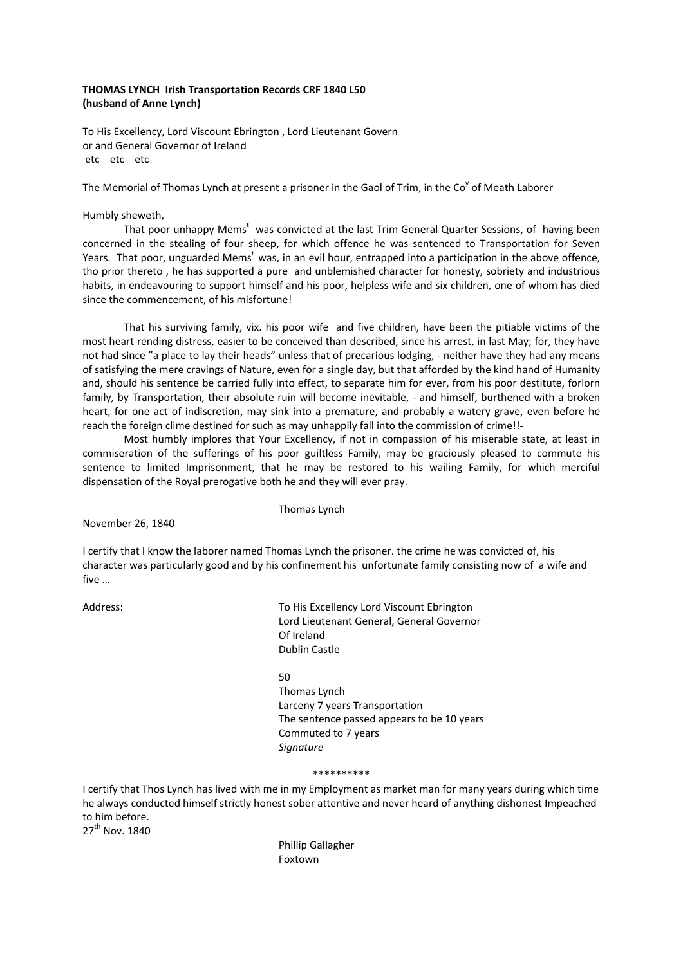# **THOMAS LYNCH Irish Transportation Records CRF 1840 L50 (husband of Anne Lynch)**

To His Excellency, Lord Viscount Ebrington , Lord Lieutenant Govern or and General Governor of Ireland etc etc etc

The Memorial of Thomas Lynch at present a prisoner in the Gaol of Trim, in the Co<sup>y</sup> of Meath Laborer

## Humbly sheweth,

That poor unhappy Mems<sup>t</sup> was convicted at the last Trim General Quarter Sessions, of having been concerned in the stealing of four sheep, for which offence he was sentenced to Transportation for Seven Years. That poor, unguarded Mems<sup>t</sup> was, in an evil hour, entrapped into a participation in the above offence, tho prior thereto , he has supported a pure and unblemished character for honesty, sobriety and industrious habits, in endeavouring to support himself and his poor, helpless wife and six children, one of whom has died since the commencement, of his misfortune!

That his surviving family, vix. his poor wife and five children, have been the pitiable victims of the most heart rending distress, easier to be conceived than described, since his arrest, in last May; for, they have not had since "a place to lay their heads" unless that of precarious lodging, - neither have they had any means of satisfying the mere cravings of Nature, even for a single day, but that afforded by the kind hand of Humanity and, should his sentence be carried fully into effect, to separate him for ever, from his poor destitute, forlorn family, by Transportation, their absolute ruin will become inevitable, - and himself, burthened with a broken heart, for one act of indiscretion, may sink into a premature, and probably a watery grave, even before he reach the foreign clime destined for such as may unhappily fall into the commission of crime!!-

Most humbly implores that Your Excellency, if not in compassion of his miserable state, at least in commiseration of the sufferings of his poor guiltless Family, may be graciously pleased to commute his sentence to limited Imprisonment, that he may be restored to his wailing Family, for which merciful dispensation of the Royal prerogative both he and they will ever pray.

Thomas Lynch

November 26, 1840

I certify that I know the laborer named Thomas Lynch the prisoner. the crime he was convicted of, his character was particularly good and by his confinement his unfortunate family consisting now of a wife and five …

Address: and To His Excellency Lord Viscount Ebrington Lord Lieutenant General, General Governor Of Ireland Dublin Castle

50

Thomas Lynch Larceny 7 years Transportation The sentence passed appears to be 10 years Commuted to 7 years *Signature* 

#### \*\*\*\*\*\*\*\*\*\*

I certify that Thos Lynch has lived with me in my Employment as market man for many years during which time he always conducted himself strictly honest sober attentive and never heard of anything dishonest Impeached to him before.

27<sup>th</sup> Nov. 1840

Phillip Gallagher Foxtown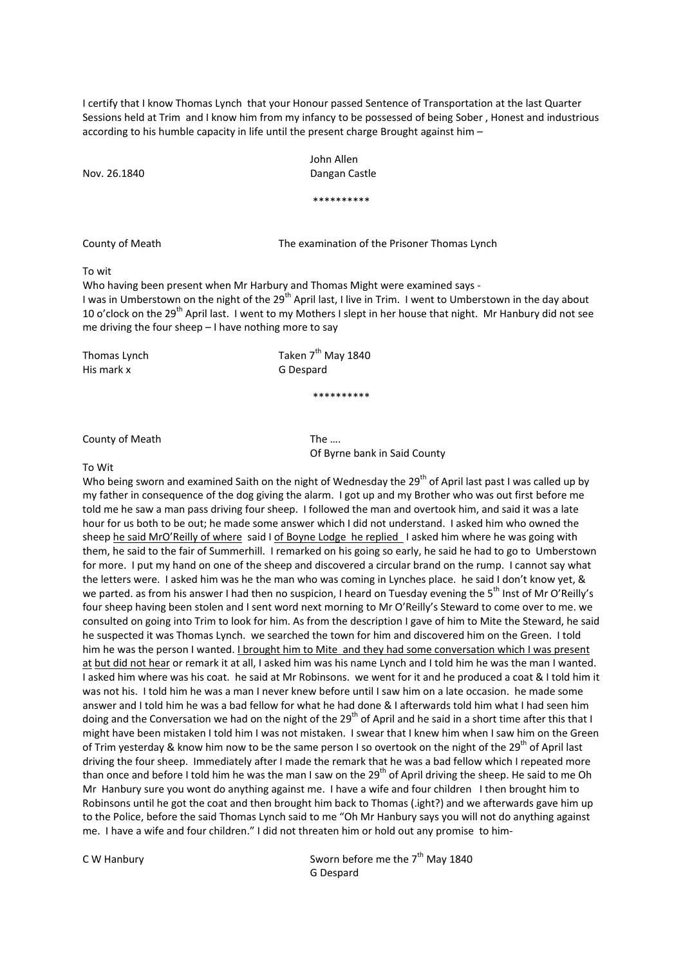I certify that I know Thomas Lynch that your Honour passed Sentence of Transportation at the last Quarter Sessions held at Trim and I know him from my infancy to be possessed of being Sober , Honest and industrious according to his humble capacity in life until the present charge Brought against him –

 John Allen Nov. 26.1840 Dangan Castle

\*\*\*\*\*\*\*\*\*\*

County of Meath The examination of the Prisoner Thomas Lynch

# To wit

Who having been present when Mr Harbury and Thomas Might were examined says ‐ I was in Umberstown on the night of the 29<sup>th</sup> April last, I live in Trim. I went to Umberstown in the day about 10 o'clock on the 29<sup>th</sup> April last. I went to my Mothers I slept in her house that night. Mr Hanbury did not see me driving the four sheep – I have nothing more to say

His mark  $x$ 

Thomas Lynch Taken 7<sup>th</sup> May 1840<br>His mark x G Despard

## \*\*\*\*\*\*\*\*\*\*

County of Meath The ....

Of Byrne bank in Said County

#### To Wit

Who being sworn and examined Saith on the night of Wednesday the 29<sup>th</sup> of April last past I was called up by my father in consequence of the dog giving the alarm. I got up and my Brother who was out first before me told me he saw a man pass driving four sheep. I followed the man and overtook him, and said it was a late hour for us both to be out; he made some answer which I did not understand. I asked him who owned the sheep he said MrO'Reilly of where said I of Boyne Lodge he replied I asked him where he was going with them, he said to the fair of Summerhill. I remarked on his going so early, he said he had to go to Umberstown for more. I put my hand on one of the sheep and discovered a circular brand on the rump. I cannot say what the letters were. I asked him was he the man who was coming in Lynches place. he said I don't know yet, & we parted. as from his answer I had then no suspicion, I heard on Tuesday evening the 5<sup>th</sup> Inst of Mr O'Reilly's four sheep having been stolen and I sent word next morning to Mr O'Reilly's Steward to come over to me. we consulted on going into Trim to look for him. As from the description I gave of him to Mite the Steward, he said he suspected it was Thomas Lynch. we searched the town for him and discovered him on the Green. I told him he was the person I wanted. I brought him to Mite and they had some conversation which I was present at but did not hear or remark it at all, I asked him was his name Lynch and I told him he was the man I wanted. I asked him where was his coat. he said at Mr Robinsons. we went for it and he produced a coat & I told him it was not his. I told him he was a man I never knew before until I saw him on a late occasion. he made some answer and I told him he was a bad fellow for what he had done & I afterwards told him what I had seen him doing and the Conversation we had on the night of the 29<sup>th</sup> of April and he said in a short time after this that I might have been mistaken I told him I was not mistaken. I swear that I knew him when I saw him on the Green of Trim yesterday & know him now to be the same person I so overtook on the night of the 29<sup>th</sup> of April last driving the four sheep. Immediately after I made the remark that he was a bad fellow which I repeated more than once and before I told him he was the man I saw on the 29<sup>th</sup> of April driving the sheep. He said to me Oh Mr Hanbury sure you wont do anything against me. I have a wife and four children I then brought him to Robinsons until he got the coat and then brought him back to Thomas (.ight?) and we afterwards gave him up to the Police, before the said Thomas Lynch said to me "Oh Mr Hanbury says you will not do anything against me. I have a wife and four children." I did not threaten him or hold out any promise to him-

C W Hanbury **C** W Hanbury  **EXECUTE:** Sworn before me the  $7<sup>th</sup>$  May 1840 G Despard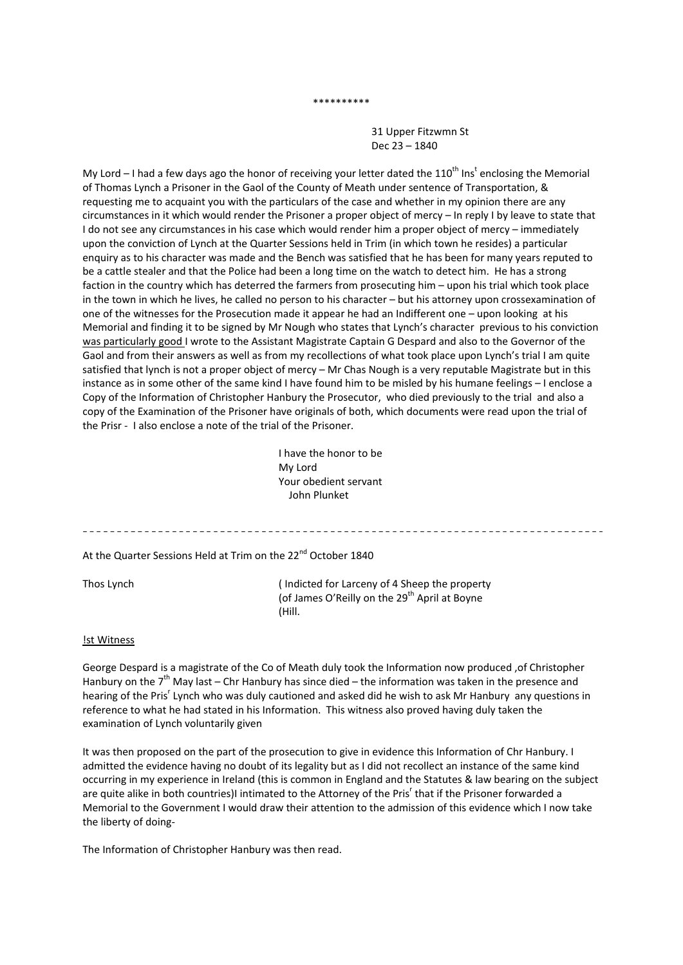#### \*\*\*\*\*\*\*\*\*\*

 31 Upper Fitzwmn St Dec 23 – 1840

My Lord – I had a few days ago the honor of receiving your letter dated the 110<sup>th</sup> Ins<sup>t</sup> enclosing the Memorial of Thomas Lynch a Prisoner in the Gaol of the County of Meath under sentence of Transportation, & requesting me to acquaint you with the particulars of the case and whether in my opinion there are any circumstances in it which would render the Prisoner a proper object of mercy – In reply I by leave to state that I do not see any circumstances in his case which would render him a proper object of mercy – immediately upon the conviction of Lynch at the Quarter Sessions held in Trim (in which town he resides) a particular enquiry as to his character was made and the Bench was satisfied that he has been for many years reputed to be a cattle stealer and that the Police had been a long time on the watch to detect him. He has a strong faction in the country which has deterred the farmers from prosecuting him – upon his trial which took place in the town in which he lives, he called no person to his character – but his attorney upon crossexamination of one of the witnesses for the Prosecution made it appear he had an Indifferent one – upon looking at his Memorial and finding it to be signed by Mr Nough who states that Lynch's character previous to his conviction was particularly good I wrote to the Assistant Magistrate Captain G Despard and also to the Governor of the Gaol and from their answers as well as from my recollections of what took place upon Lynch's trial I am quite satisfied that lynch is not a proper object of mercy – Mr Chas Nough is a very reputable Magistrate but in this instance as in some other of the same kind I have found him to be misled by his humane feelings – I enclose a Copy of the Information of Christopher Hanbury the Prosecutor, who died previously to the trial and also a copy of the Examination of the Prisoner have originals of both, which documents were read upon the trial of the Prisr ‐ I also enclose a note of the trial of the Prisoner.

> I have the honor to be My Lord Your obedient servant John Plunket

At the Quarter Sessions Held at Trim on the 22<sup>nd</sup> October 1840

Thos Lynch ( Indicted for Larceny of 4 Sheep the property (of James O'Reilly on the 29<sup>th</sup> April at Boyne (Hill.

#### !st Witness

George Despard is a magistrate of the Co of Meath duly took the Information now produced ,of Christopher Hanbury on the  $7<sup>th</sup>$  May last – Chr Hanbury has since died – the information was taken in the presence and hearing of the Pris<sup>r</sup> Lynch who was duly cautioned and asked did he wish to ask Mr Hanbury any questions in reference to what he had stated in his Information. This witness also proved having duly taken the examination of Lynch voluntarily given

It was then proposed on the part of the prosecution to give in evidence this Information of Chr Hanbury. I admitted the evidence having no doubt of its legality but as I did not recollect an instance of the same kind occurring in my experience in Ireland (this is common in England and the Statutes & law bearing on the subject are quite alike in both countries)I intimated to the Attorney of the Pris<sup>r</sup> that if the Prisoner forwarded a Memorial to the Government I would draw their attention to the admission of this evidence which I now take the liberty of doing‐

The Information of Christopher Hanbury was then read.